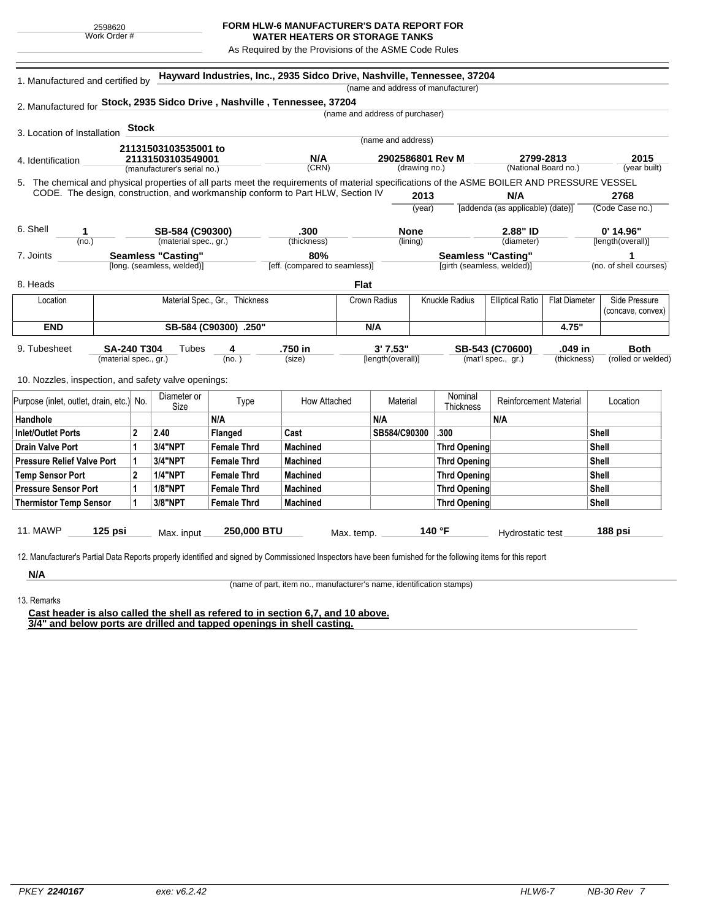## **FORM HLW-6 MANUFACTURER'S DATA REPORT FOR**

**WATER HEATERS OR STORAGE TANKS** As Required by the Provisions of the ASME Code Rules

| 1. Manufactured and certified by                                                                                                             |                                                                     |                 |                             |                    | Hayward Industries, Inc., 2935 Sidco Drive, Nashville, Tennessee, 37204         |                                   |                                 |                    | (name and address of manufacturer) |                               |                                    |                        |
|----------------------------------------------------------------------------------------------------------------------------------------------|---------------------------------------------------------------------|-----------------|-----------------------------|--------------------|---------------------------------------------------------------------------------|-----------------------------------|---------------------------------|--------------------|------------------------------------|-------------------------------|------------------------------------|------------------------|
| 2. Manufactured for Stock, 2935 Sidco Drive, Nashville, Tennessee, 37204                                                                     |                                                                     |                 |                             |                    |                                                                                 |                                   |                                 |                    |                                    |                               |                                    |                        |
|                                                                                                                                              |                                                                     |                 |                             |                    |                                                                                 |                                   | (name and address of purchaser) |                    |                                    |                               |                                    |                        |
| 3. Location of Installation                                                                                                                  |                                                                     | <b>Stock</b>    |                             |                    |                                                                                 |                                   |                                 |                    |                                    |                               |                                    |                        |
|                                                                                                                                              |                                                                     |                 | 21131503103535001 to        |                    |                                                                                 |                                   | (name and address)              |                    |                                    |                               |                                    |                        |
| 4. Identification                                                                                                                            | 21131503103549001                                                   |                 |                             |                    | N/A                                                                             | 2902586801 Rev M<br>(drawing no.) |                                 |                    |                                    |                               | 2799-2813                          | 2015                   |
|                                                                                                                                              | (manufacturer's serial no.)                                         |                 |                             | (CRN)              |                                                                                 |                                   |                                 |                    | (National Board no.)               |                               | (year built)                       |                        |
| 5. The chemical and physical properties of all parts meet the requirements of material specifications of the ASME BOILER AND PRESSURE VESSEL |                                                                     |                 |                             |                    |                                                                                 |                                   |                                 |                    |                                    |                               |                                    |                        |
|                                                                                                                                              |                                                                     |                 |                             |                    | CODE. The design, construction, and workmanship conform to Part HLW, Section IV |                                   |                                 | 2013               |                                    | N/A                           |                                    | 2768                   |
|                                                                                                                                              |                                                                     |                 |                             |                    |                                                                                 |                                   | (year)                          |                    | [addenda (as applicable) (date)]   |                               | (Code Case no.)                    |                        |
| 6. Shell<br>1.                                                                                                                               |                                                                     | SB-584 (C90300) |                             |                    | .300                                                                            |                                   | <b>None</b>                     |                    |                                    | 2.88" ID                      |                                    | $0'$ 14.96"            |
| (no.)                                                                                                                                        | (material spec., gr.)                                               |                 |                             |                    | (thickness)                                                                     |                                   |                                 | (lining)           |                                    | (diameter)                    |                                    | [length(overall)]      |
| 7. Joints                                                                                                                                    |                                                                     |                 | <b>Seamless "Casting"</b>   |                    | 80%                                                                             |                                   |                                 |                    | <b>Seamless "Casting"</b>          |                               |                                    | 1                      |
|                                                                                                                                              |                                                                     |                 | [long. (seamless, welded)]  |                    | [eff. (compared to seamless)]                                                   |                                   |                                 |                    | [girth (seamless, welded)]         |                               |                                    | (no. of shell courses) |
| 8. Heads                                                                                                                                     |                                                                     |                 |                             |                    |                                                                                 | <b>Flat</b>                       |                                 |                    |                                    |                               |                                    |                        |
| Material Spec., Gr., Thickness<br>Location                                                                                                   |                                                                     |                 |                             |                    | <b>Crown Radius</b>                                                             |                                   | Knuckle Radius                  |                    | <b>Elliptical Ratio</b>            | <b>Flat Diameter</b>          | Side Pressure<br>(concave, convex) |                        |
| <b>END</b><br>SB-584 (C90300) .250"                                                                                                          |                                                                     |                 |                             |                    |                                                                                 | N/A                               |                                 |                    |                                    | 4.75"                         |                                    |                        |
| 9. Tubesheet                                                                                                                                 | <b>SA-240 T304</b><br>Tubes<br>4<br>(no. )<br>(material spec., gr.) |                 |                             | .750 in            |                                                                                 | 3'7.53"                           |                                 |                    | SB-543 (C70600)                    |                               | <b>Both</b>                        |                        |
|                                                                                                                                              |                                                                     |                 |                             | (size)             |                                                                                 | [length(overall)]                 |                                 | (mat'l spec., gr.) |                                    | .049 in<br>(thickness)        | (rolled or welded)                 |                        |
| 10. Nozzles, inspection, and safety valve openings:                                                                                          |                                                                     |                 |                             |                    |                                                                                 |                                   |                                 |                    |                                    |                               |                                    |                        |
| Purpose (inlet, outlet, drain, etc.) No.                                                                                                     |                                                                     |                 | Diameter or<br>Type<br>Size |                    | How Attached                                                                    |                                   | Material                        |                    | Nominal<br><b>Thickness</b>        | <b>Reinforcement Material</b> |                                    | Location               |
| Handhole                                                                                                                                     |                                                                     |                 |                             | N/A                |                                                                                 |                                   | N/A                             |                    |                                    | N/A                           |                                    |                        |
| <b>Inlet/Outlet Ports</b>                                                                                                                    |                                                                     | $\mathbf{2}$    | 2.40                        | Flanged            | Cast                                                                            |                                   | SB584/C90300                    |                    | .300                               |                               |                                    | <b>Shell</b>           |
| <b>Drain Valve Port</b>                                                                                                                      |                                                                     | 1               | 3/4"NPT                     | <b>Female Thrd</b> | Machined                                                                        |                                   |                                 |                    | <b>Thrd Opening</b>                |                               |                                    | <b>Shell</b>           |
| <b>Pressure Relief Valve Port</b>                                                                                                            |                                                                     | $\mathbf{1}$    | 3/4"NPT                     | <b>Female Thrd</b> | <b>Machined</b>                                                                 |                                   |                                 |                    | <b>Thrd Opening</b>                |                               |                                    | Shell                  |
| <b>Temp Sensor Port</b>                                                                                                                      |                                                                     | $\overline{2}$  | <b>1/4"NPT</b>              | <b>Female Thrd</b> | <b>Machined</b>                                                                 |                                   |                                 |                    | <b>Thrd Opening</b>                |                               |                                    | <b>Shell</b>           |
| <b>Pressure Sensor Port</b>                                                                                                                  |                                                                     | 1               | <b>1/8"NPT</b>              | <b>Female Thrd</b> | <b>Machined</b>                                                                 |                                   |                                 |                    | Thrd Opening                       |                               |                                    | Shell                  |
| <b>Thermistor Temp Sensor</b>                                                                                                                |                                                                     | 1               | 3/8"NPT                     | <b>Female Thrd</b> | <b>Machined</b>                                                                 |                                   |                                 |                    | <b>Thrd Opening</b>                |                               |                                    | <b>Shell</b>           |

12. Manufacturer's Partial Data Reports properly identified and signed by Commissioned Inspectors have been furnished for the following items for this report

**N/A** 13. Remarks

(name of part, item no., manufacturer's name, identification stamps)

**Cast header is also called the shell as refered to in section 6,7, and 10 above. 3/4" and below ports are drilled and tapped openings in shell casting.**